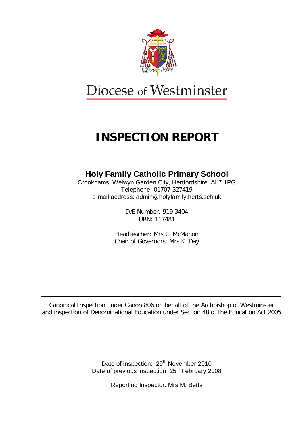

# Diocese of Westminster

## **INSPECTION REPORT**

## **Holy Family Catholic Primary School**

Crookhams, Welwyn Garden City, Hertfordshire. AL7 1PG Telephone: 01707 327419 e-mail address: admin@holyfamily.herts.sch.uk

> DfE Number: 919 3404 URN: 117481

Headteacher: Mrs C. McMahon Chair of Governors: Mrs K. Day

Canonical Inspection under Canon 806 on behalf of the Archbishop of Westminster and inspection of Denominational Education under Section 48 of the Education Act 2005

> Date of inspection: 29<sup>th</sup> November 2010 Date of previous inspection: 25<sup>th</sup> February 2008

> > Reporting Inspector: Mrs M. Betts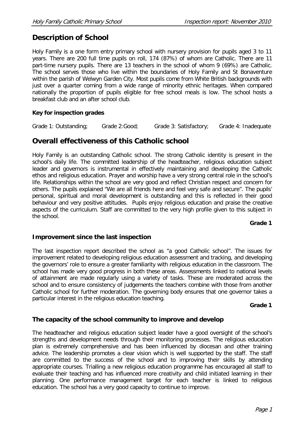## **Description of School**

Holy Family is a one form entry primary school with nursery provision for pupils aged 3 to 11 years. There are 200 full time pupils on roll, 174 (87%) of whom are Catholic. There are 11 part-time nursery pupils. There are 13 teachers in the school of whom 9 (69%) are Catholic. The school serves those who live within the boundaries of Holy Family and St Bonaventure within the parish of Welwyn Garden City. Most pupils come from White British backgrounds with just over a quarter coming from a wide range of minority ethnic heritages. When compared nationally the proportion of pupils eligible for free school meals is low. The school hosts a breakfast club and an after school club.

#### **Key for inspection grades**

Grade 1: Outstanding; Grade 2:Good; Grade 3: Satisfactory; Grade 4: Inadequate

## **Overall effectiveness of this Catholic school**

Holy Family is an outstanding Catholic school. The strong Catholic identity is present in the school's daily life. The committed leadership of the headteacher, religious education subject leader and governors is instrumental in effectively maintaining and developing the Catholic ethos and religious education. Prayer and worship have a very strong central role in the school's life. Relationships within the school are very good and reflect Christian respect and concern for others. The pupils explained "We are all friends here and feel very safe and secure". The pupils' personal, spiritual and moral development is outstanding and this is reflected in their good behaviour and very positive attitudes. Pupils enjoy religious education and praise the creative aspects of the curriculum. Staff are committed to the very high profile given to this subject in the school.

**Grade 1**

#### **Improvement since the last inspection**

The last inspection report described the school as "a good Catholic school". The issues for improvement related to developing religious education assessment and tracking, and developing the governors' role to ensure a greater familiarity with religious education in the classroom. The school has made very good progress in both these areas. Assessments linked to national levels of attainment are made regularly using a variety of tasks. These are moderated across the school and to ensure consistency of judgements the teachers combine with those from another Catholic school for further moderation. The governing body ensures that one governor takes a particular interest in the religious education teaching.

**Grade 1**

#### **The capacity of the school community to improve and develop**

The headteacher and religious education subject leader have a good oversight of the school's strengths and development needs through their monitoring processes. The religious education plan is extremely comprehensive and has been influenced by diocesan and other training advice. The leadership promotes a clear vision which is well supported by the staff. The staff are committed to the success of the school and to improving their skills by attending appropriate courses. Trialling a new religious education programme has encouraged all staff to evaluate their teaching and has influenced more creativity and child initiated learning in their planning. One performance management target for each teacher is linked to religious education. The school has a very good capacity to continue to improve.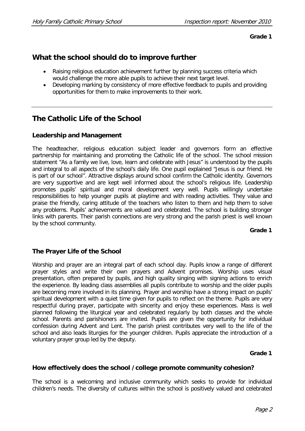**Grade 1**

## **What the school should do to improve further**

- Raising religious education achievement further by planning success criteria which would challenge the more able pupils to achieve their next target level.
- Developing marking by consistency of more effective feedback to pupils and providing opportunities for them to make improvements to their work.

## **The Catholic Life of the School**

#### **Leadership and Management**

The headteacher, religious education subject leader and governors form an effective partnership for maintaining and promoting the Catholic life of the school. The school mission statement "As a family we live, love, learn and celebrate with Jesus" is understood by the pupils and integral to all aspects of the school's daily life. One pupil explained "Jesus is our friend. He is part of our school". Attractive displays around school confirm the Catholic identity. Governors are very supportive and are kept well informed about the school's religious life. Leadership promotes pupils' spiritual and moral development very well. Pupils willingly undertake responsibilities to help younger pupils at playtime and with reading activities. They value and praise the friendly, caring attitude of the teachers who listen to them and help them to solve any problems. Pupils' achievements are valued and celebrated. The school is building stronger links with parents. Their parish connections are very strong and the parish priest is well known by the school community.

**Grade 1**

#### **The Prayer Life of the School**

Worship and prayer are an integral part of each school day. Pupils know a range of different prayer styles and write their own prayers and Advent promises. Worship uses visual presentation, often prepared by pupils, and high quality singing with signing actions to enrich the experience. By leading class assemblies all pupils contribute to worship and the older pupils are becoming more involved in its planning. Prayer and worship have a strong impact on pupils' spiritual development with a quiet time given for pupils to reflect on the theme. Pupils are very respectful during prayer, participate with sincerity and enjoy these experiences. Mass is well planned following the liturgical year and celebrated regularly by both classes and the whole school. Parents and parishioners are invited. Pupils are given the opportunity for individual confession during Advent and Lent. The parish priest contributes very well to the life of the school and also leads liturgies for the younger children. Pupils appreciate the introduction of a voluntary prayer group led by the deputy.

#### **Grade 1**

#### **How effectively does the school /college promote community cohesion?**

The school is a welcoming and inclusive community which seeks to provide for individual children's needs. The diversity of cultures within the school is positively valued and celebrated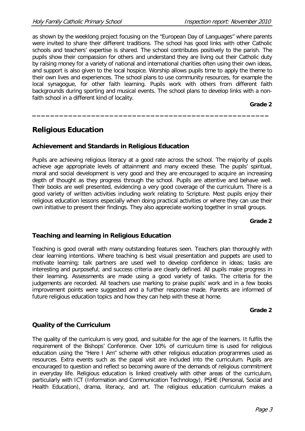as shown by the weeklong project focusing on the "European Day of Languages" where parents were invited to share their different traditions. The school has good links with other Catholic schools and teachers' expertise is shared. The school contributes positively to the parish. The pupils show their compassion for others and understand they are living out their Catholic duty by raising money for a variety of national and international charities often using their own ideas, and support is also given to the local hospice. Worship allows pupils time to apply the theme to their own lives and experiences. The school plans to use community resources, for example the local synagogue, for other faith learning. Pupils work with others from different faith backgrounds during sporting and musical events. The school plans to develop links with a nonfaith school in a different kind of locality.

**\_\_\_\_\_\_\_\_\_\_\_\_\_\_\_\_\_\_\_\_\_\_\_\_\_\_\_\_\_\_\_\_\_\_\_\_\_\_\_\_\_\_\_\_\_\_\_\_\_\_\_\_**

**Grade 2**

## **Religious Education**

#### **Achievement and Standards in Religious Education**

Pupils are achieving religious literacy at a good rate across the school. The majority of pupils achieve age appropriate levels of attainment and many exceed these. The pupils' spiritual, moral and social development is very good and they are encouraged to acquire an increasing depth of thought as they progress through the school. Pupils are attentive and behave well. Their books are well presented, evidencing a very good coverage of the curriculum. There is a good variety of written activities including work relating to Scripture. Most pupils enjoy their religious education lessons especially when doing practical activities or where they can use their own initiative to present their findings. They also appreciate working together in small groups.

#### **Grade 2**

#### **Teaching and learning in Religious Education**

Teaching is good overall with many outstanding features seen. Teachers plan thoroughly with clear learning intentions. Where teaching is best visual presentation and puppets are used to motivate learning; talk partners are used well to develop confidence in ideas; tasks are interesting and purposeful; and success criteria are clearly defined. All pupils make progress in their learning. Assessments are made using a good variety of tasks. The criteria for the judgements are recorded. All teachers use marking to praise pupils' work and in a few books improvement points were suggested and a further response made. Parents are informed of future religious education topics and how they can help with these at home.

#### **Grade 2**

#### **Quality of the Curriculum**

The quality of the curriculum is very good, and suitable for the age of the learners. It fulfils the requirement of the Bishops' Conference. Over 10% of curriculum time is used for religious education using the "Here I Am" scheme with other religious education programmes used as resources. Extra events such as the papal visit are included into the curriculum. Pupils are encouraged to question and reflect so becoming aware of the demands of religious commitment in everyday life. Religious education is linked creatively with other areas of the curriculum, particularly with ICT (Information and Communication Technology), PSHE (Personal, Social and Health Education), drama, literacy, and art. The religious education curriculum makes a